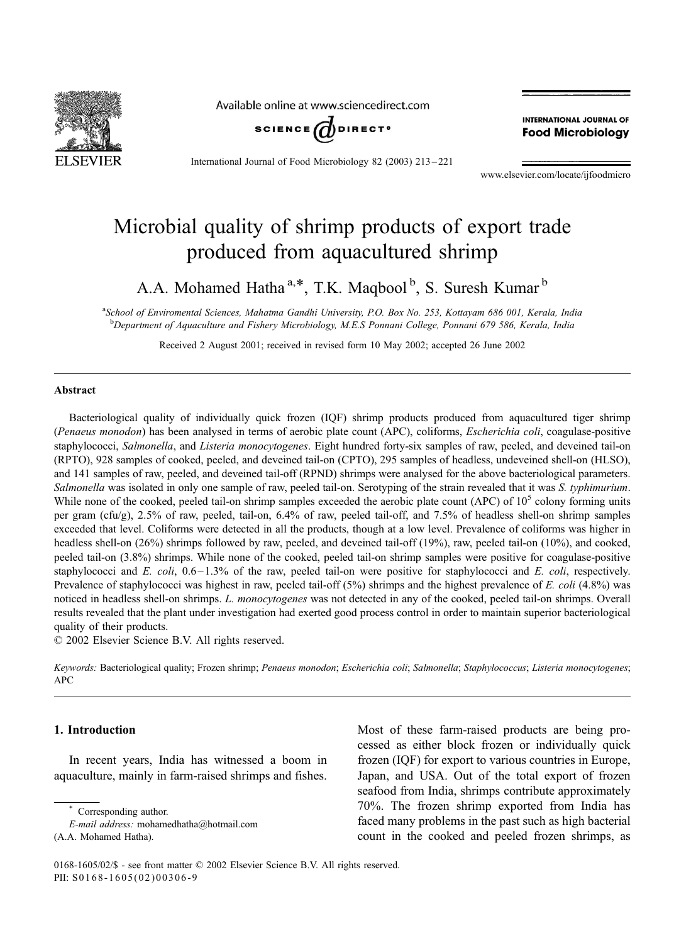

Available online at www.sciencedirect.com



International Journal of Food Microbiology 82 (2003) 213 – 221

**INTERNATIONAL JOURNAL OF Food Microbiology** 

www.elsevier.com/locate/ijfoodmicro

# Microbial quality of shrimp products of export trade produced from aquacultured shrimp

A.A. Mohamed Hatha<sup>a,\*</sup>, T.K. Maqbool<sup>b</sup>, S. Suresh Kumar<sup>b</sup>

a School of Enviromental Sciences, Mahatma Gandhi University, P.O. Box No. 253, Kottayam 686 001, Kerala, India b Department of Aquaculture and Fishery Microbiology, M.E.S Ponnani College, Ponnani 679 586, Kerala, India

Received 2 August 2001; received in revised form 10 May 2002; accepted 26 June 2002

#### Abstract

Bacteriological quality of individually quick frozen (IQF) shrimp products produced from aquacultured tiger shrimp (Penaeus monodon) has been analysed in terms of aerobic plate count (APC), coliforms, Escherichia coli, coagulase-positive staphylococci, Salmonella, and Listeria monocytogenes. Eight hundred forty-six samples of raw, peeled, and deveined tail-on (RPTO), 928 samples of cooked, peeled, and deveined tail-on (CPTO), 295 samples of headless, undeveined shell-on (HLSO), and 141 samples of raw, peeled, and deveined tail-off (RPND) shrimps were analysed for the above bacteriological parameters. Salmonella was isolated in only one sample of raw, peeled tail-on. Serotyping of the strain revealed that it was S. typhimurium. While none of the cooked, peeled tail-on shrimp samples exceeded the aerobic plate count (APC) of  $10<sup>5</sup>$  colony forming units per gram (cfu/g), 2.5% of raw, peeled, tail-on, 6.4% of raw, peeled tail-off, and 7.5% of headless shell-on shrimp samples exceeded that level. Coliforms were detected in all the products, though at a low level. Prevalence of coliforms was higher in headless shell-on (26%) shrimps followed by raw, peeled, and deveined tail-off (19%), raw, peeled tail-on (10%), and cooked, peeled tail-on (3.8%) shrimps. While none of the cooked, peeled tail-on shrimp samples were positive for coagulase-positive staphylococci and E. coli,  $0.6 - 1.3\%$  of the raw, peeled tail-on were positive for staphylococci and E. coli, respectively. Prevalence of staphylococci was highest in raw, peeled tail-off  $(5%)$  shrimps and the highest prevalence of E. coli (4.8%) was noticed in headless shell-on shrimps. L. monocytogenes was not detected in any of the cooked, peeled tail-on shrimps. Overall results revealed that the plant under investigation had exerted good process control in order to maintain superior bacteriological quality of their products.

 $\odot$  2002 Elsevier Science B.V. All rights reserved.

Keywords: Bacteriological quality; Frozen shrimp; Penaeus monodon; Escherichia coli; Salmonella; Staphylococcus; Listeria monocytogenes;  $APC$ 

## 1. Introduction

In recent years, India has witnessed a boom in aquaculture, mainly in farm-raised shrimps and fishes. Most of these farm-raised products are being processed as either block frozen or individually quick frozen (IQF) for export to various countries in Europe, Japan, and USA. Out of the total export of frozen seafood from India, shrimps contribute approximately 70%. The frozen shrimp exported from India has faced many problems in the past such as high bacterial count in the cooked and peeled frozen shrimps, as

Corresponding author.

E-mail address: mohamedhatha@hotmail.com

<sup>(</sup>A.A. Mohamed Hatha).

<sup>0168-1605/02/\$ -</sup> see front matter © 2002 Elsevier Science B.V. All rights reserved. PII: S0168-1605(02)00306-9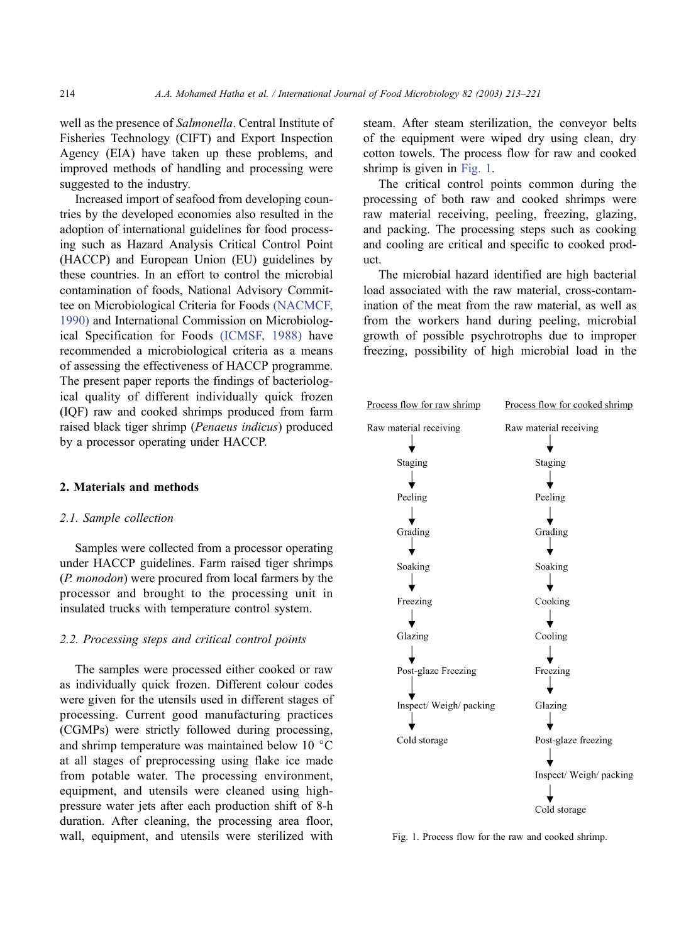well as the presence of Salmonella. Central Institute of Fisheries Technology (CIFT) and Export Inspection Agency (EIA) have taken up these problems, and improved methods of handling and processing were suggested to the industry.

Increased import of seafood from developing countries by the developed economies also resulted in the adoption of international guidelines for food processing such as Hazard Analysis Critical Control Point (HACCP) and European Union (EU) guidelines by these countries. In an effort to control the microbial contamination of foods, National Advisory Committee on Microbiological Criteria for Foods [\(NACMCF,](#page-8-0) 1990) and International Commission on Microbiological Specification for Foods [\(ICMSF, 1988\)](#page-8-0) have recommended a microbiological criteria as a means of assessing the effectiveness of HACCP programme. The present paper reports the findings of bacteriological quality of different individually quick frozen (IQF) raw and cooked shrimps produced from farm raised black tiger shrimp (Penaeus indicus) produced by a processor operating under HACCP.

## 2. Materials and methods

#### 2.1. Sample collection

Samples were collected from a processor operating under HACCP guidelines. Farm raised tiger shrimps (P. monodon) were procured from local farmers by the processor and brought to the processing unit in insulated trucks with temperature control system.

# 2.2. Processing steps and critical control points

The samples were processed either cooked or raw as individually quick frozen. Different colour codes were given for the utensils used in different stages of processing. Current good manufacturing practices (CGMPs) were strictly followed during processing, and shrimp temperature was maintained below 10 $\degree$ C at all stages of preprocessing using flake ice made from potable water. The processing environment, equipment, and utensils were cleaned using highpressure water jets after each production shift of 8-h duration. After cleaning, the processing area floor, wall, equipment, and utensils were sterilized with steam. After steam sterilization, the conveyor belts of the equipment were wiped dry using clean, dry cotton towels. The process flow for raw and cooked shrimp is given in Fig. 1.

The critical control points common during the processing of both raw and cooked shrimps were raw material receiving, peeling, freezing, glazing, and packing. The processing steps such as cooking and cooling are critical and specific to cooked product.

The microbial hazard identified are high bacterial load associated with the raw material, cross-contamination of the meat from the raw material, as well as from the workers hand during peeling, microbial growth of possible psychrotrophs due to improper freezing, possibility of high microbial load in the



Fig. 1. Process flow for the raw and cooked shrimp.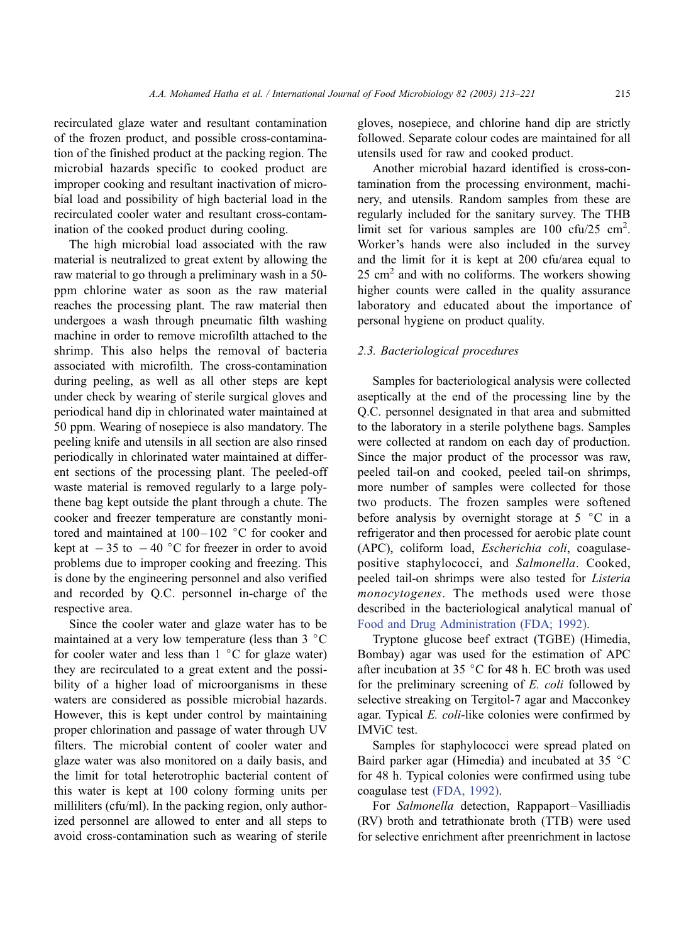recirculated glaze water and resultant contamination of the frozen product, and possible cross-contamination of the finished product at the packing region. The microbial hazards specific to cooked product are improper cooking and resultant inactivation of microbial load and possibility of high bacterial load in the recirculated cooler water and resultant cross-contamination of the cooked product during cooling.

The high microbial load associated with the raw material is neutralized to great extent by allowing the raw material to go through a preliminary wash in a 50 ppm chlorine water as soon as the raw material reaches the processing plant. The raw material then undergoes a wash through pneumatic filth washing machine in order to remove microfilth attached to the shrimp. This also helps the removal of bacteria associated with microfilth. The cross-contamination during peeling, as well as all other steps are kept under check by wearing of sterile surgical gloves and periodical hand dip in chlorinated water maintained at 50 ppm. Wearing of nosepiece is also mandatory. The peeling knife and utensils in all section are also rinsed periodically in chlorinated water maintained at different sections of the processing plant. The peeled-off waste material is removed regularly to a large polythene bag kept outside the plant through a chute. The cooker and freezer temperature are constantly monitored and maintained at  $100 - 102$  °C for cooker and kept at  $-35$  to  $-40$  °C for freezer in order to avoid problems due to improper cooking and freezing. This is done by the engineering personnel and also verified and recorded by Q.C. personnel in-charge of the respective area.

Since the cooler water and glaze water has to be maintained at a very low temperature (less than  $3 \text{ }^{\circ}C$ for cooler water and less than  $1 \degree C$  for glaze water) they are recirculated to a great extent and the possibility of a higher load of microorganisms in these waters are considered as possible microbial hazards. However, this is kept under control by maintaining proper chlorination and passage of water through UV filters. The microbial content of cooler water and glaze water was also monitored on a daily basis, and the limit for total heterotrophic bacterial content of this water is kept at 100 colony forming units per milliliters (cfu/ml). In the packing region, only authorized personnel are allowed to enter and all steps to avoid cross-contamination such as wearing of sterile

gloves, nosepiece, and chlorine hand dip are strictly followed. Separate colour codes are maintained for all utensils used for raw and cooked product.

Another microbial hazard identified is cross-contamination from the processing environment, machinery, and utensils. Random samples from these are regularly included for the sanitary survey. The THB limit set for various samples are  $100 \text{ cftu}/25 \text{ cm}^2$ . Worker's hands were also included in the survey and the limit for it is kept at 200 cfu/area equal to  $25 \text{ cm}^2$  and with no coliforms. The workers showing higher counts were called in the quality assurance laboratory and educated about the importance of personal hygiene on product quality.

#### 2.3. Bacteriological procedures

Samples for bacteriological analysis were collected aseptically at the end of the processing line by the Q.C. personnel designated in that area and submitted to the laboratory in a sterile polythene bags. Samples were collected at random on each day of production. Since the major product of the processor was raw, peeled tail-on and cooked, peeled tail-on shrimps, more number of samples were collected for those two products. The frozen samples were softened before analysis by overnight storage at  $5 \degree C$  in a refrigerator and then processed for aerobic plate count (APC), coliform load, Escherichia coli, coagulasepositive staphylococci, and Salmonella. Cooked, peeled tail-on shrimps were also tested for Listeria monocytogenes. The methods used were those described in the bacteriological analytical manual of [Food and Drug Administration \(FDA; 1992\).](#page-8-0)

Tryptone glucose beef extract (TGBE) (Himedia, Bombay) agar was used for the estimation of APC after incubation at 35  $\degree$ C for 48 h. EC broth was used for the preliminary screening of E. coli followed by selective streaking on Tergitol-7 agar and Macconkey agar. Typical E. coli-like colonies were confirmed by IMViC test.

Samples for staphylococci were spread plated on Baird parker agar (Himedia) and incubated at 35 $\degree$ C for 48 h. Typical colonies were confirmed using tube coagulase test [\(FDA, 1992\).](#page-8-0)

For Salmonella detection, Rappaport–Vasilliadis (RV) broth and tetrathionate broth (TTB) were used for selective enrichment after preenrichment in lactose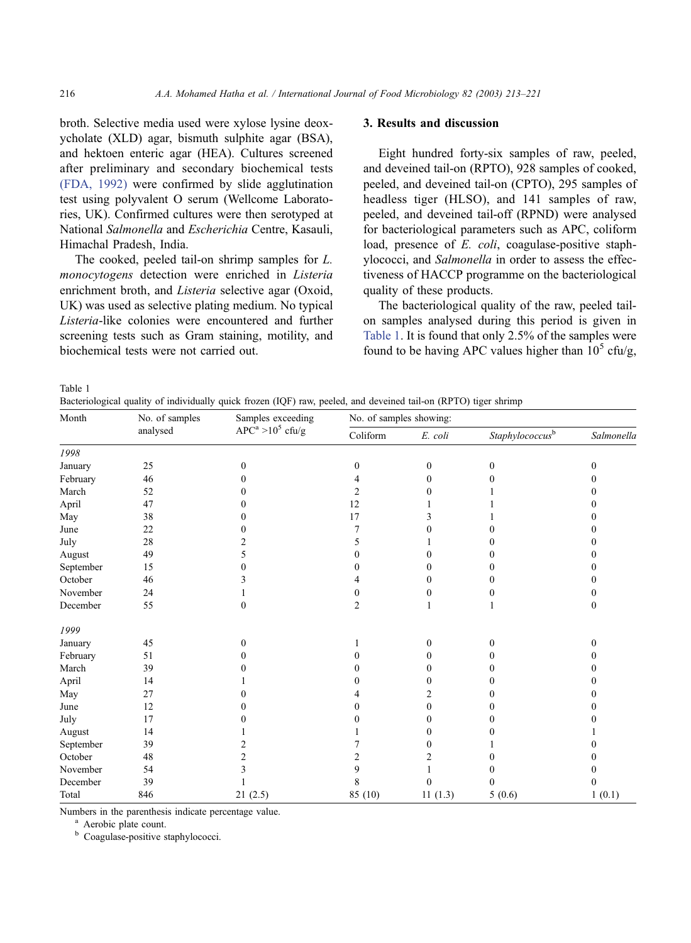broth. Selective media used were xylose lysine deoxycholate (XLD) agar, bismuth sulphite agar (BSA), and hektoen enteric agar (HEA). Cultures screened after preliminary and secondary biochemical tests [\(FDA, 1992\)](#page-8-0) were confirmed by slide agglutination test using polyvalent O serum (Wellcome Laboratories, UK). Confirmed cultures were then serotyped at National Salmonella and Escherichia Centre, Kasauli, Himachal Pradesh, India.

The cooked, peeled tail-on shrimp samples for L. monocytogens detection were enriched in Listeria enrichment broth, and Listeria selective agar (Oxoid, UK) was used as selective plating medium. No typical Listeria-like colonies were encountered and further screening tests such as Gram staining, motility, and biochemical tests were not carried out.

# 3. Results and discussion

Eight hundred forty-six samples of raw, peeled, and deveined tail-on (RPTO), 928 samples of cooked, peeled, and deveined tail-on (CPTO), 295 samples of headless tiger (HLSO), and 141 samples of raw, peeled, and deveined tail-off (RPND) were analysed for bacteriological parameters such as APC, coliform load, presence of E. coli, coagulase-positive staphylococci, and Salmonella in order to assess the effectiveness of HACCP programme on the bacteriological quality of these products.

The bacteriological quality of the raw, peeled tailon samples analysed during this period is given in Table 1. It is found that only 2.5% of the samples were found to be having APC values higher than  $10^5$  cfu/g,

Table 1

Bacteriological quality of individually quick frozen (IQF) raw, peeled, and deveined tail-on (RPTO) tiger shrimp

| Month             | No. of samples<br>analysed | Samples exceeding<br>$APC^a > 10^5$ cfu/g | No. of samples showing: |                  |                             |                |  |
|-------------------|----------------------------|-------------------------------------------|-------------------------|------------------|-----------------------------|----------------|--|
|                   |                            |                                           | Coliform                | E. coli          | Staphylococcus <sup>b</sup> | Salmonella     |  |
| 1998              |                            |                                           |                         |                  |                             |                |  |
| January           | 25                         | $\mathbf{0}$                              | $\mathbf{0}$            | $\boldsymbol{0}$ | $\mathbf{0}$                | 0              |  |
| February          | 46                         | 0                                         |                         | 0                | 0                           | 0              |  |
| March             | 52                         | 0                                         | 2                       | 0                |                             | 0              |  |
| April             | 47                         | 0                                         | 12                      |                  |                             | 0              |  |
| May               | 38                         | 0                                         | 17                      | 3                |                             | 0              |  |
| June              | 22                         | 0                                         | 7                       | 0                | 0                           | 0              |  |
| July              | 28                         | 2                                         | 5                       |                  | 0                           | 0              |  |
| August            | 49                         | 5                                         | 0                       |                  | $\theta$                    | 0              |  |
| September         | 15                         | 0                                         | 0                       | 0                | 0                           | 0              |  |
| October           | 46                         | 3                                         |                         | $\theta$         | $\mathbf{0}$                | 0              |  |
| November          | 24                         |                                           | 0                       | 0                | 0                           | 0              |  |
| $\mbox{December}$ | 55                         | $\mathbf{0}$                              | $\overline{c}$          | 1                | 1                           | $\mathbf{0}$   |  |
| 1999              |                            |                                           |                         |                  |                             |                |  |
| January           | 45                         | $\boldsymbol{0}$                          |                         | $\mathbf{0}$     | $\mathbf{0}$                | $\overline{0}$ |  |
| February          | 51                         | 0                                         | 0                       | 0                | 0                           | 0              |  |
| March             | 39                         |                                           |                         | 0                | 0                           | 0              |  |
| April             | 14                         |                                           | 0                       | 0                | $\theta$                    | 0              |  |
| May               | 27                         | 0                                         |                         | 2                | $\theta$                    | 0              |  |
| June              | 12                         | 0                                         | 0                       | $\mathbf{0}$     | 0                           | 0              |  |
| July              | 17                         | 0                                         | 0                       | 0                | 0                           | 0              |  |
| August            | 14                         |                                           |                         | 0                | 0                           |                |  |
| September         | 39                         | 2                                         |                         | 0                |                             | 0              |  |
| October           | 48                         | $\overline{c}$                            | 2                       | 2                | $\theta$                    | 0              |  |
| November          | 54                         | 3                                         | 9                       |                  | 0                           |                |  |
| December          | 39                         |                                           | 8                       | 0                | 0                           | 0              |  |
| Total             | 846                        | 21(2.5)                                   | 85 (10)                 | 11(1.3)          | 5(0.6)                      | 1(0.1)         |  |

Numbers in the parenthesis indicate percentage value.<br><sup>a</sup> Aerobic plate count.<br><sup>b</sup> Coagulase-positive staphylococci.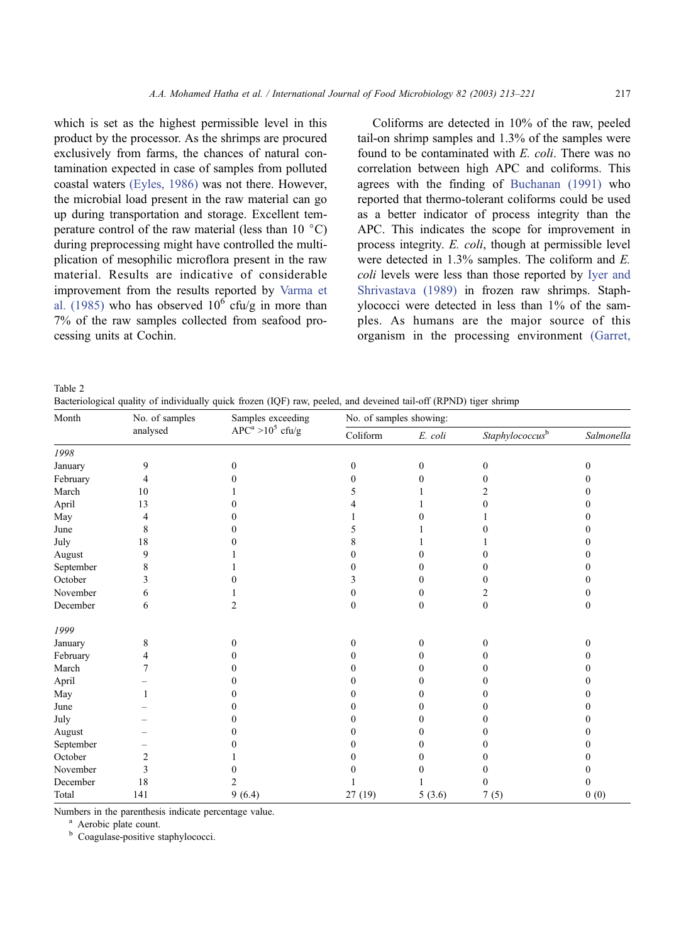<span id="page-4-0"></span>which is set as the highest permissible level in this product by the processor. As the shrimps are procured exclusively from farms, the chances of natural con-

tamination expected in case of samples from polluted coastal waters [\(Eyles, 1986\)](#page-8-0) was not there. However, the microbial load present in the raw material can go up during transportation and storage. Excellent temperature control of the raw material (less than  $10\degree C$ ) during preprocessing might have controlled the multiplication of mesophilic microflora present in the raw material. Results are indicative of considerable improvement from the results reported by [Varma et](#page-8-0) al. (1985) who has observed  $10^6$  cfu/g in more than 7% of the raw samples collected from seafood processing units at Cochin.

Coliforms are detected in 10% of the raw, peeled tail-on shrimp samples and 1.3% of the samples were found to be contaminated with E. coli. There was no correlation between high APC and coliforms. This agrees with the finding of [Buchanan \(1991\)](#page-8-0) who reported that thermo-tolerant coliforms could be used as a better indicator of process integrity than the APC. This indicates the scope for improvement in process integrity. E. coli, though at permissible level were detected in 1.3% samples. The coliform and E. coli levels were less than those reported by [Iyer and](#page-8-0) Shrivastava (1989) in frozen raw shrimps. Staphylococci were detected in less than 1% of the samples. As humans are the major source of this organism in the processing environment [\(Garret,](#page-8-0)

Table 2

Bacteriological quality of individually quick frozen (IQF) raw, peeled, and deveined tail-off (RPND) tiger shrimp

| Month     | No. of samples<br>analysed | Samples exceeding<br>$APCa > 105$ cfu/g | No. of samples showing: |                  |                          |            |  |
|-----------|----------------------------|-----------------------------------------|-------------------------|------------------|--------------------------|------------|--|
|           |                            |                                         | Coliform                | E. coli          | $Staphylococcus^{\rm b}$ | Salmonella |  |
| 1998      |                            |                                         |                         |                  |                          |            |  |
| January   | 9                          | $\mathbf{0}$                            | $\mathbf{0}$            | $\boldsymbol{0}$ | $\boldsymbol{0}$         | 0          |  |
| February  | 4                          | 0                                       | 0                       | $\theta$         | 0                        | 0          |  |
| March     | 10                         |                                         |                         |                  | 2                        | 0          |  |
| April     | 13                         |                                         |                         |                  | 0                        | 0          |  |
| May       | 4                          |                                         |                         |                  |                          | 0          |  |
| June      | 8                          |                                         | 5                       |                  |                          | 0          |  |
| July      | 18                         |                                         | 8                       |                  |                          | $^{(1)}$   |  |
| August    | 9                          |                                         | 0                       | 0                | 0                        | 0          |  |
| September | 8                          |                                         | 0                       | 0                | 0                        | 0          |  |
| October   | 3                          |                                         | 3                       | 0                | 0                        | $_{0}$     |  |
| November  | 6                          |                                         | 0                       | 0                | 2                        | 0          |  |
| December  | 6                          | 2                                       | $\Omega$                | $\Omega$         | $\boldsymbol{0}$         | $\Omega$   |  |
| 1999      |                            |                                         |                         |                  |                          |            |  |
| January   | 8                          | $\Omega$                                | $\mathbf{0}$            | $\Omega$         | 0                        | 0          |  |
| February  | 4                          | 0                                       | 0                       | 0                | 0                        | 0          |  |
| March     |                            | 0                                       | 0                       | 0                | 0                        | $_{0}$     |  |
| April     |                            | 0                                       | 0                       | 0                | 0                        | 0          |  |
| May       |                            |                                         | 0                       | 0                | 0                        | 0          |  |
| June      |                            | 0                                       | 0                       | 0                | 0                        | 0          |  |
| July      |                            |                                         | 0                       | 0                | 0                        | 0          |  |
| August    |                            | 0                                       | 0                       | 0                | 0                        | $_{0}$     |  |
| September |                            |                                         | 0                       | 0                | 0                        | 0          |  |
| October   | $\overline{c}$             |                                         |                         |                  |                          | 0          |  |
| November  | 3                          |                                         | 0                       | $\mathbf{0}$     | 0                        | 0          |  |
| December  | 18                         | 2                                       |                         |                  | 0                        | 0          |  |
| Total     | 141                        | 9(6.4)                                  | 27(19)                  | 5(3.6)           | 7(5)                     | 0(0)       |  |

Numbers in the parenthesis indicate percentage value.<br><sup>a</sup> Aerobic plate count.<br><sup>b</sup> Coagulase-positive staphylococci.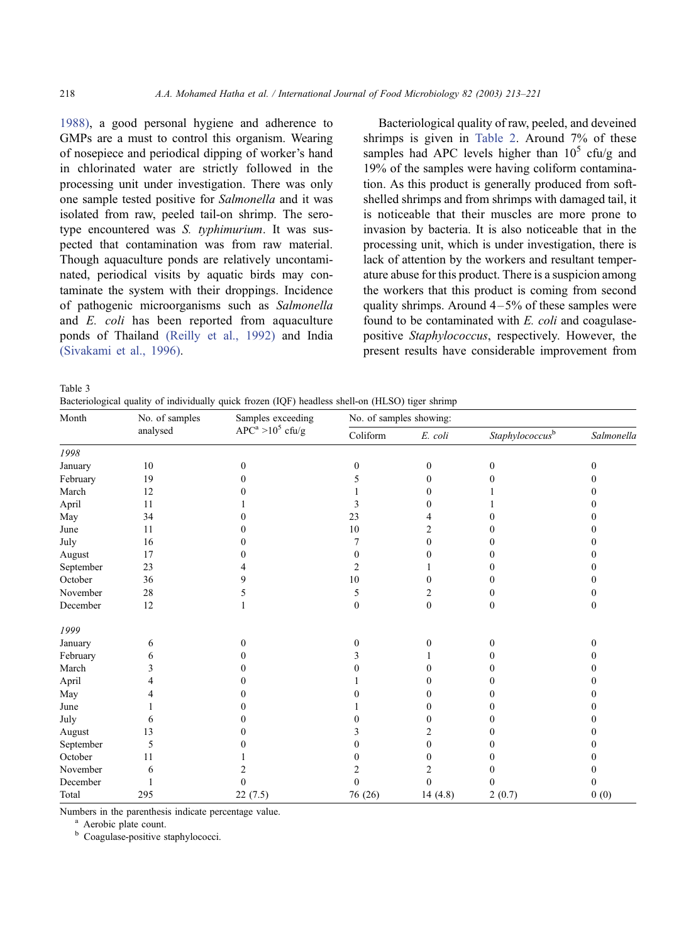1988), a good personal hygiene and adherence to GMPs are a must to control this organism. Wearing of nosepiece and periodical dipping of worker's hand in chlorinated water are strictly followed in the processing unit under investigation. There was only one sample tested positive for Salmonella and it was isolated from raw, peeled tail-on shrimp. The serotype encountered was S. typhimurium. It was suspected that contamination was from raw material. Though aquaculture ponds are relatively uncontaminated, periodical visits by aquatic birds may contaminate the system with their droppings. Incidence of pathogenic microorganisms such as Salmonella and E. coli has been reported from aquaculture ponds of Thailand [\(Reilly et al., 1992\)](#page-8-0) and India [\(Sivakami et al., 1996\).](#page-8-0)

Bacteriological quality of raw, peeled, and deveined shrimps is given in [Table 2.](#page-4-0) Around 7% of these samples had APC levels higher than  $10^5$  cfu/g and 19% of the samples were having coliform contamination. As this product is generally produced from softshelled shrimps and from shrimps with damaged tail, it is noticeable that their muscles are more prone to invasion by bacteria. It is also noticeable that in the processing unit, which is under investigation, there is lack of attention by the workers and resultant temperature abuse for this product. There is a suspicion among the workers that this product is coming from second quality shrimps. Around  $4-5%$  of these samples were found to be contaminated with E. coli and coagulasepositive Staphylococcus, respectively. However, the present results have considerable improvement from

Table 3

Bacteriological quality of individually quick frozen (IQF) headless shell-on (HLSO) tiger shrimp

| Month     | No. of samples<br>analysed | Samples exceeding<br>$APCa > 105$ cfu/g | No. of samples showing: |                  |                             |              |  |
|-----------|----------------------------|-----------------------------------------|-------------------------|------------------|-----------------------------|--------------|--|
|           |                            |                                         | Coliform                | E. coli          | Staphylococcus <sup>b</sup> | Salmonella   |  |
| 1998      |                            |                                         |                         |                  |                             |              |  |
| January   | 10                         | $\mathbf{0}$                            | $\mathbf{0}$            | $\boldsymbol{0}$ | $\boldsymbol{0}$            | $\Omega$     |  |
| February  | 19                         | 0                                       | 5                       | $\mathbf{0}$     |                             | 0            |  |
| March     | 12                         | 0                                       |                         | $\Omega$         |                             | 0            |  |
| April     | 11                         |                                         | 3                       | 0                |                             | 0            |  |
| May       | 34                         | 0                                       | 23                      | 4                |                             | 0            |  |
| June      | 11                         | 0                                       | 10                      | 2                |                             | 0            |  |
| July      | 16                         | 0                                       | 7                       | $\boldsymbol{0}$ | 0                           | 0            |  |
| August    | 17                         | 0                                       | $\Omega$                | $\Omega$         | 0                           | 0            |  |
| September | 23                         |                                         | $\overline{2}$          |                  |                             | 0            |  |
| October   | 36                         | 9                                       | 10                      | $\theta$         | 0                           | 0            |  |
| November  | 28                         | 5                                       | 5                       | 2                | 0                           | 0            |  |
| December  | 12                         | $\mathbf{1}$                            | $\mathbf{0}$            | $\mathbf{0}$     | $\mathbf{0}$                | $\mathbf{0}$ |  |
| 1999      |                            |                                         |                         |                  |                             |              |  |
| January   | 6                          | 0                                       | $\mathbf{0}$            | $\mathbf{0}$     | 0                           | $\mathbf{0}$ |  |
| February  | 6                          | 0                                       |                         |                  |                             | 0            |  |
| March     | 3                          | 0                                       | 0                       | 0                | 0                           | 0            |  |
| April     | 4                          | 0                                       |                         | $\theta$         | 0                           | 0            |  |
| May       | 4                          | 0                                       | 0                       | $\Omega$         | 0                           | 0            |  |
| June      |                            | 0                                       |                         | 0                | 0                           | 0            |  |
| July      | 6                          | 0                                       | 0                       | $\Omega$         | 0                           | 0            |  |
| August    | 13                         |                                         | 3                       | 2                | 0                           | 0            |  |
| September | 5                          | 0                                       | 0                       | $\Omega$         | 0                           | 0            |  |
| October   | 11                         |                                         | 0                       | $\theta$         | 0                           | 0            |  |
| November  | 6                          |                                         |                         | 2                | 0                           | 0            |  |
| December  |                            | $\theta$                                | $\theta$                | $\Omega$         | 0                           | 0            |  |
| Total     | 295                        | 22(7.5)                                 | 76 (26)                 | 14(4.8)          | 2(0.7)                      | 0(0)         |  |

Numbers in the parenthesis indicate percentage value.<br><sup>a</sup> Aerobic plate count.<br><sup>b</sup> Coagulase-positive staphylococci.

<span id="page-5-0"></span>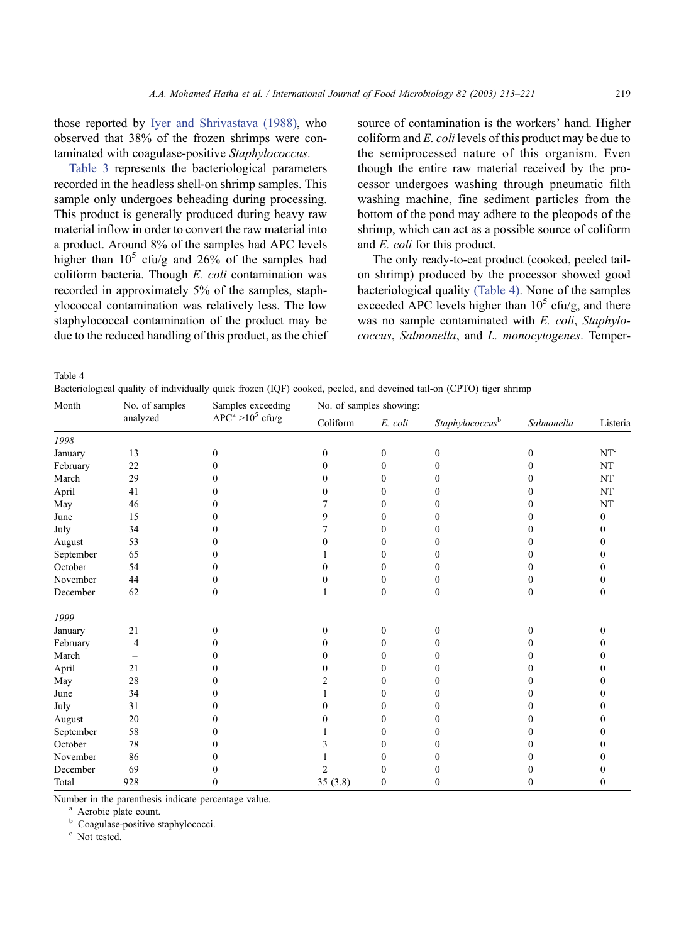those reported by [Iyer and Shrivastava \(1988\),](#page-8-0) who observed that 38% of the frozen shrimps were contaminated with coagulase-positive Staphylococcus.

[Table 3](#page-5-0) represents the bacteriological parameters recorded in the headless shell-on shrimp samples. This sample only undergoes beheading during processing. This product is generally produced during heavy raw material inflow in order to convert the raw material into a product. Around 8% of the samples had APC levels higher than  $10^5$  cfu/g and  $26\%$  of the samples had coliform bacteria. Though E. coli contamination was recorded in approximately 5% of the samples, staphylococcal contamination was relatively less. The low staphylococcal contamination of the product may be due to the reduced handling of this product, as the chief source of contamination is the workers' hand. Higher coliform and E. coli levels of this product may be due to the semiprocessed nature of this organism. Even though the entire raw material received by the processor undergoes washing through pneumatic filth washing machine, fine sediment particles from the bottom of the pond may adhere to the pleopods of the shrimp, which can act as a possible source of coliform and E. coli for this product.

The only ready-to-eat product (cooked, peeled tailon shrimp) produced by the processor showed good bacteriological quality (Table 4). None of the samples exceeded APC levels higher than  $10^5$  cfu/g, and there was no sample contaminated with E. coli, Staphylococcus, Salmonella, and L. monocytogenes. Temper-

Table 4

Bacteriological quality of individually quick frozen (IQF) cooked, peeled, and deveined tail-on (CPTO) tiger shrimp

| Month     | No. of samples<br>analyzed | Samples exceeding<br>$APC^a > 10^5$ cfu/g | No. of samples showing: |                  |                             |                   |                 |
|-----------|----------------------------|-------------------------------------------|-------------------------|------------------|-----------------------------|-------------------|-----------------|
|           |                            |                                           | Coliform                | E. coli          | Staphylococcus <sup>b</sup> | Salmonella        | Listeria        |
| 1998      |                            |                                           |                         |                  |                             |                   |                 |
| January   | 13                         | $\mathbf{0}$                              | $\mathbf{0}$            | $\mathbf{0}$     | $\mathbf{0}$                | $\mathbf{0}$      | NT <sup>c</sup> |
| February  | 22                         | 0                                         | 0                       | 0                | 0                           | 0                 | NT              |
| March     | 29                         | 0                                         | 0                       | 0                | 0                           | 0                 | $_{\rm NT}$     |
| April     | 41                         | 0                                         | 0                       | 0                | 0                           | $_{0}$            | NT              |
| May       | 46                         | 0                                         |                         | 0                | 0                           | 0                 | $\rm{NT}$       |
| June      | 15                         | 0                                         | 9                       | 0                | 0                           | 0                 | $\mathbf{0}$    |
| July      | 34                         | 0                                         | 7                       | 0                | 0                           | 0                 | 0               |
| August    | 53                         | 0                                         | 0                       | 0                | 0                           |                   |                 |
| September | 65                         | 0                                         |                         | 0                | 0                           | $_{0}$            |                 |
| October   | 54                         | 0                                         | 0                       | 0                | 0                           | $\mathbf{\Omega}$ |                 |
| November  | 44                         | 0                                         | 0                       | 0                | 0                           | 0                 |                 |
| December  | 62                         | $\Omega$                                  |                         | $\theta$         | $\Omega$                    | $\Omega$          | 0               |
| 1999      |                            |                                           |                         |                  |                             |                   |                 |
| January   | 21                         | $\Omega$                                  | $\theta$                | $\theta$         | $\theta$                    | $\theta$          | 0               |
| February  | 4                          | 0                                         | 0                       | 0                | 0                           | 0                 |                 |
| March     |                            | 0                                         | 0                       | 0                | 0                           | 0                 |                 |
| April     | 21                         | 0                                         | 0                       | 0                | 0                           |                   |                 |
| May       | 28                         | 0                                         | 2                       | 0                | $\mathbf{\Omega}$           |                   |                 |
| June      | 34                         | 0                                         |                         | 0                | 0                           | 0                 |                 |
| July      | 31                         | 0                                         | 0                       | 0                | 0                           |                   |                 |
| August    | 20                         | 0                                         | 0                       | 0                | 0                           | $_{0}$            |                 |
| September | 58                         | 0                                         |                         | 0                | 0                           |                   |                 |
| October   | 78                         | 0                                         | 3                       | 0                | 0                           |                   |                 |
| November  | 86                         | 0                                         |                         | 0                | 0                           |                   |                 |
| December  | 69                         | 0                                         | 2                       | 0                | 0                           | 0                 |                 |
| Total     | 928                        | 0                                         | 35(3.8)                 | $\boldsymbol{0}$ | $\theta$                    | 0                 | 0               |

Number in the parenthesis indicate percentage value.<br>
<sup>a</sup> Aerobic plate count.<br>
<sup>b</sup> Coagulase-positive staphylococci.<br>
<sup>c</sup> Not tested.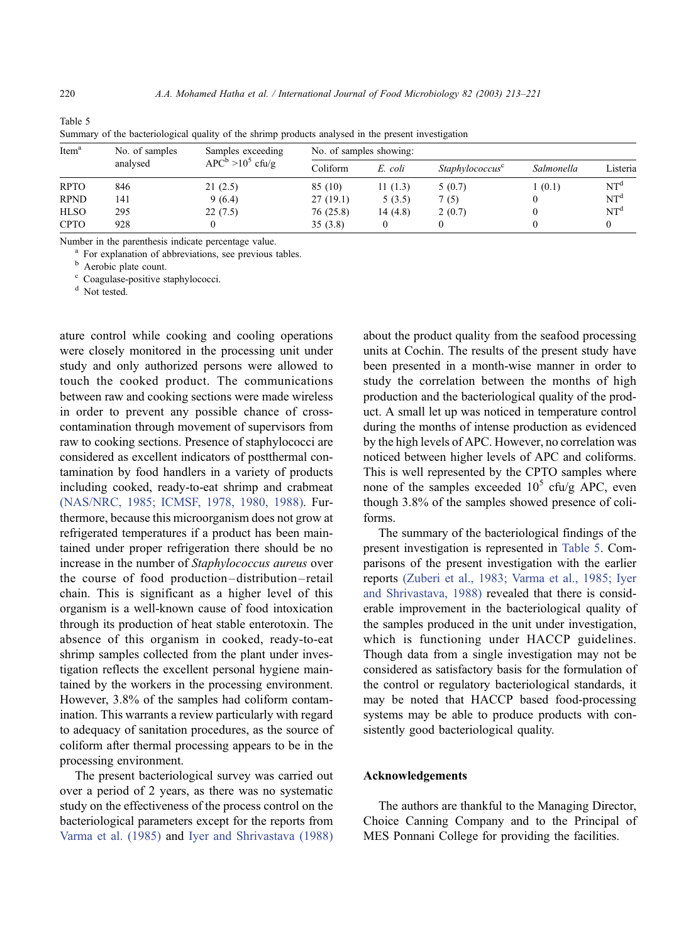| Item <sup>a</sup> | No. of samples | Samples exceeding<br>$APC^b > 10^5$ cfu/g | No. of samples showing: |         |                             |            |                 |  |
|-------------------|----------------|-------------------------------------------|-------------------------|---------|-----------------------------|------------|-----------------|--|
|                   | analysed       |                                           | Coliform                | E. coli | Staphylococcus <sup>c</sup> | Salmonella | Listeria        |  |
| <b>RPTO</b>       | 846            | 21(2.5)                                   | 85 (10)                 | 11(1.3) | 5(0.7)                      | 1(0.1)     | NT <sup>d</sup> |  |
| <b>RPND</b>       | 141            | 9(6.4)                                    | 27(19.1)                | 5(3.5)  | 7(5)                        |            | NT <sup>d</sup> |  |
| <b>HLSO</b>       | 295            | 22(7.5)                                   | 76(25.8)                | 14(4.8) | 2(0.7)                      |            | NT <sup>d</sup> |  |
| <b>CPTO</b>       | 928            |                                           | 35(3.8)                 |         |                             |            |                 |  |

Table 5 Summary of the bacteriological quality of the shrimp products analysed in the present investigation

Number in the parenthesis indicate percentage value.<br><sup>a</sup> For explanation of abbreviations, see previous tables.<br><sup>b</sup> Aerobic plate count.<br><sup>c</sup> Coagulase-positive staphylococci.

<sup>d</sup> Not tested.

ature control while cooking and cooling operations were closely monitored in the processing unit under study and only authorized persons were allowed to touch the cooked product. The communications between raw and cooking sections were made wireless in order to prevent any possible chance of crosscontamination through movement of supervisors from raw to cooking sections. Presence of staphylococci are considered as excellent indicators of postthermal contamination by food handlers in a variety of products including cooked, ready-to-eat shrimp and crabmeat [\(NAS/NRC, 1985; ICMSF, 1978, 1980, 1988\).](#page-8-0) Furthermore, because this microorganism does not grow at refrigerated temperatures if a product has been maintained under proper refrigeration there should be no increase in the number of Staphylococcus aureus over the course of food production– distribution – retail chain. This is significant as a higher level of this organism is a well-known cause of food intoxication through its production of heat stable enterotoxin. The absence of this organism in cooked, ready-to-eat shrimp samples collected from the plant under investigation reflects the excellent personal hygiene maintained by the workers in the processing environment. However, 3.8% of the samples had coliform contamination. This warrants a review particularly with regard to adequacy of sanitation procedures, as the source of coliform after thermal processing appears to be in the processing environment.

The present bacteriological survey was carried out over a period of 2 years, as there was no systematic study on the effectiveness of the process control on the bacteriological parameters except for the reports from [Varma et al. \(1985\)](#page-8-0) and [Iyer and Shrivastava \(1988\)](#page-8-0) about the product quality from the seafood processing units at Cochin. The results of the present study have been presented in a month-wise manner in order to study the correlation between the months of high production and the bacteriological quality of the product. A small let up was noticed in temperature control during the months of intense production as evidenced by the high levels of APC. However, no correlation was noticed between higher levels of APC and coliforms. This is well represented by the CPTO samples where none of the samples exceeded  $10^5$  cfu/g APC, even though 3.8% of the samples showed presence of coliforms.

The summary of the bacteriological findings of the present investigation is represented in Table 5. Comparisons of the present investigation with the earlier reports [\(Zuberi et al., 1983; Varma et al., 1985; Iyer](#page-8-0) and Shrivastava, 1988) revealed that there is considerable improvement in the bacteriological quality of the samples produced in the unit under investigation, which is functioning under HACCP guidelines. Though data from a single investigation may not be considered as satisfactory basis for the formulation of the control or regulatory bacteriological standards, it may be noted that HACCP based food-processing systems may be able to produce products with consistently good bacteriological quality.

#### Acknowledgements

The authors are thankful to the Managing Director, Choice Canning Company and to the Principal of MES Ponnani College for providing the facilities.